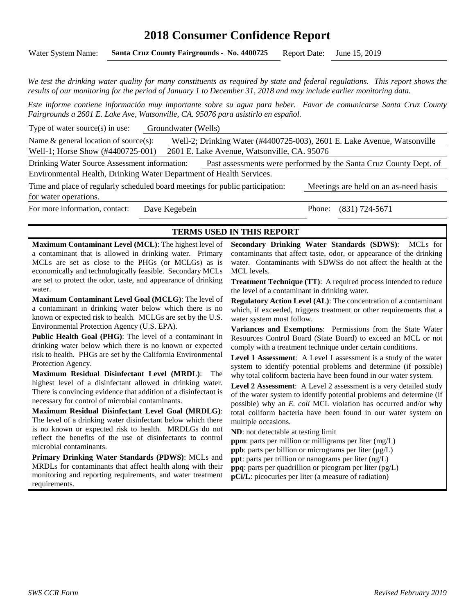# **2018 Consumer Confidence Report**

Water System Name: **Santa Cruz County Fairgrounds - No. 4400725** Report Date: June 15, 2019

*We test the drinking water quality for many constituents as required by state and federal regulations. This report shows the results of our monitoring for the period of January 1 to December 31, 2018 and may include earlier monitoring data.* 

*Este informe contiene información muy importante sobre su agua para beber. Favor de comunicarse Santa Cruz County Fairgrounds a 2601 E. Lake Ave, Watsonville, CA. 95076 para asistirlo en español.*

Type of water source(s) in use: Groundwater (Wells)

Name & general location of source(s): Well-2; Drinking Water (#4400725-003), 2601 E. Lake Avenue, Watsonville Well-1; Horse Show (#4400725-001) 2601 E. Lake Avenue, Watsonville, CA. 95076

Drinking Water Source Assessment information: Past assessments were performed by the Santa Cruz County Dept. of Environmental Health, Drinking Water Department of Health Services.

Time and place of regularly scheduled board meetings for public participation: Meetings are held on an as-need basis for water operations.

For more information, contact: Dave Kegebein Phone: (831) 724-5671

#### **TERMS USED IN THIS REPORT**

**Maximum Contaminant Level (MCL)**: The highest level of a contaminant that is allowed in drinking water. Primary MCLs are set as close to the PHGs (or MCLGs) as is economically and technologically feasible. Secondary MCLs are set to protect the odor, taste, and appearance of drinking water.

**Maximum Contaminant Level Goal (MCLG)**: The level of a contaminant in drinking water below which there is no known or expected risk to health. MCLGs are set by the U.S. Environmental Protection Agency (U.S. EPA).

**Public Health Goal (PHG)**: The level of a contaminant in drinking water below which there is no known or expected risk to health. PHGs are set by the California Environmental Protection Agency.

**Maximum Residual Disinfectant Level (MRDL)**: The highest level of a disinfectant allowed in drinking water. There is convincing evidence that addition of a disinfectant is necessary for control of microbial contaminants.

**Maximum Residual Disinfectant Level Goal (MRDLG)**: The level of a drinking water disinfectant below which there is no known or expected risk to health. MRDLGs do not reflect the benefits of the use of disinfectants to control microbial contaminants.

**Primary Drinking Water Standards (PDWS)**: MCLs and MRDLs for contaminants that affect health along with their monitoring and reporting requirements, and water treatment requirements.

**Secondary Drinking Water Standards (SDWS)**:MCLs for contaminants that affect taste, odor, or appearance of the drinking water. Contaminants with SDWSs do not affect the health at the MCL levels.

**Treatment Technique (TT)**: A required process intended to reduce the level of a contaminant in drinking water.

**Regulatory Action Level (AL)**: The concentration of a contaminant which, if exceeded, triggers treatment or other requirements that a water system must follow.

**Variances and Exemptions**: Permissions from the State Water Resources Control Board (State Board) to exceed an MCL or not comply with a treatment technique under certain conditions.

**Level 1 Assessment**: A Level 1 assessment is a study of the water system to identify potential problems and determine (if possible) why total coliform bacteria have been found in our water system.

**Level 2 Assessment**: A Level 2 assessment is a very detailed study of the water system to identify potential problems and determine (if possible) why an *E. coli* MCL violation has occurred and/or why total coliform bacteria have been found in our water system on multiple occasions.

**ND**: not detectable at testing limit

**ppm**: parts per million or milligrams per liter (mg/L)

**ppb**: parts per billion or micrograms per liter  $(\mu g/L)$ 

**ppt**: parts per trillion or nanograms per liter (ng/L)

**ppq**: parts per quadrillion or picogram per liter (pg/L)

**pCi/L**: picocuries per liter (a measure of radiation)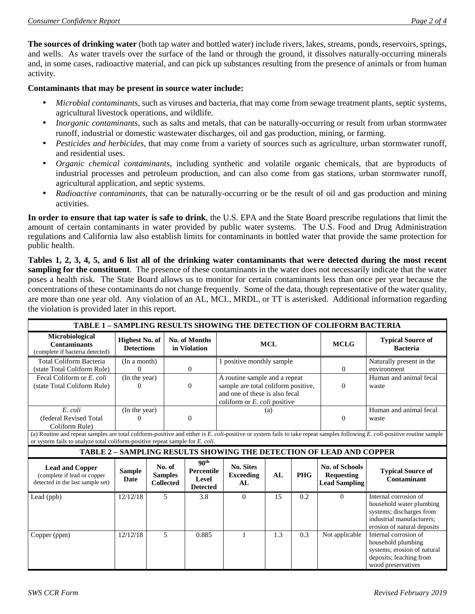**The sources of drinking water** (both tap water and bottled water) include rivers, lakes, streams, ponds, reservoirs, springs, and wells. As water travels over the surface of the land or through the ground, it dissolves naturally-occurring minerals and, in some cases, radioactive material, and can pick up substances resulting from the presence of animals or from human activity.

#### **Contaminants that may be present in source water include:**

- *Microbial contaminants*, such as viruses and bacteria, that may come from sewage treatment plants, septic systems, agricultural livestock operations, and wildlife.
- *Inorganic contaminants*, such as salts and metals, that can be naturally-occurring or result from urban stormwater runoff, industrial or domestic wastewater discharges, oil and gas production, mining, or farming.
- *Pesticides and herbicides*, that may come from a variety of sources such as agriculture, urban stormwater runoff, and residential uses.
- *Organic chemical contaminants*, including synthetic and volatile organic chemicals, that are byproducts of industrial processes and petroleum production, and can also come from gas stations, urban stormwater runoff, agricultural application, and septic systems.
- *Radioactive contaminants*, that can be naturally-occurring or be the result of oil and gas production and mining activities.

**In order to ensure that tap water is safe to drink**, the U.S. EPA and the State Board prescribe regulations that limit the amount of certain contaminants in water provided by public water systems. The U.S. Food and Drug Administration regulations and California law also establish limits for contaminants in bottled water that provide the same protection for public health.

**Tables 1, 2, 3, 4, 5, and 6 list all of the drinking water contaminants that were detected during the most recent sampling for the constituent**. The presence of these contaminants in the water does not necessarily indicate that the water poses a health risk. The State Board allows us to monitor for certain contaminants less than once per year because the concentrations of these contaminants do not change frequently. Some of the data, though representative of the water quality, are more than one year old. Any violation of an AL, MCL, MRDL, or TT is asterisked. Additional information regarding the violation is provided later in this report.

| TABLE 1 - SAMPLING RESULTS SHOWING THE DETECTION OF COLIFORM BACTERIA                                                                                                                                                                                       |                                            |  |                                              |                                                                   |                                                                                                                                        |     |            |                                                                    |                                                                                                                                           |
|-------------------------------------------------------------------------------------------------------------------------------------------------------------------------------------------------------------------------------------------------------------|--------------------------------------------|--|----------------------------------------------|-------------------------------------------------------------------|----------------------------------------------------------------------------------------------------------------------------------------|-----|------------|--------------------------------------------------------------------|-------------------------------------------------------------------------------------------------------------------------------------------|
| <b>Microbiological</b><br><b>Contaminants</b><br>(complete if bacteria detected)                                                                                                                                                                            | <b>Highest No. of</b><br><b>Detections</b> |  | No. of Months<br>in Violation                |                                                                   | <b>MCL</b>                                                                                                                             |     |            | <b>MCLG</b>                                                        | <b>Typical Source of</b><br><b>Bacteria</b>                                                                                               |
| <b>Total Coliform Bacteria</b><br>(state Total Coliform Rule)                                                                                                                                                                                               | (In a month)                               |  | $\Omega$                                     |                                                                   | 1 positive monthly sample                                                                                                              |     |            | $\Omega$                                                           | Naturally present in the<br>environment                                                                                                   |
| Fecal Coliform or E. coli<br>(state Total Coliform Rule)                                                                                                                                                                                                    | $\overline{(\text{In the year})}$<br>0     |  | $\Omega$                                     |                                                                   | A routine sample and a repeat<br>sample are total coliform positive,<br>and one of these is also fecal<br>coliform or E. coli positive |     |            | $\mathbf{0}$                                                       | Human and animal fecal<br>waste                                                                                                           |
| E. coli<br>(federal Revised Total<br>Coliform Rule)                                                                                                                                                                                                         | (In the year)<br>0                         |  |                                              | $\Omega$                                                          |                                                                                                                                        | (a) |            | $\mathbf{0}$                                                       | Human and animal fecal<br>waste                                                                                                           |
| (a) Routine and repeat samples are total coliform-positive and either is E. coli-positive or system fails to take repeat samples following E. coli-positive routine sample<br>or system fails to analyze total coliform-positive repeat sample for E. coli. |                                            |  |                                              |                                                                   |                                                                                                                                        |     |            |                                                                    |                                                                                                                                           |
| TABLE 2 - SAMPLING RESULTS SHOWING THE DETECTION OF LEAD AND COPPER                                                                                                                                                                                         |                                            |  |                                              |                                                                   |                                                                                                                                        |     |            |                                                                    |                                                                                                                                           |
| <b>Lead and Copper</b><br>(complete if lead or copper<br>detected in the last sample set)                                                                                                                                                                   | <b>Sample</b><br><b>Date</b>               |  | No. of<br><b>Samples</b><br><b>Collected</b> | 90 <sup>th</sup><br><b>Percentile</b><br>Level<br><b>Detected</b> | <b>No. Sites</b><br><b>Exceeding</b><br>AL                                                                                             | AL  | <b>PHG</b> | <b>No. of Schools</b><br><b>Requesting</b><br><b>Lead Sampling</b> | <b>Typical Source of</b><br>Contaminant                                                                                                   |
| Lead (ppb)                                                                                                                                                                                                                                                  | 12/12/18                                   |  | 5                                            | 3.8                                                               | $\Omega$                                                                                                                               | 15  | 0.2        | $\Omega$                                                           | Internal corrosion of<br>household water plumbing<br>systems; discharges from<br>industrial manufacturers;<br>erosion of natural deposits |
| Copper (ppm)                                                                                                                                                                                                                                                | 12/12/18                                   |  | 5                                            | 0.885                                                             | $\mathbf{1}$                                                                                                                           | 1.3 | 0.3        | Not applicable                                                     | Internal corrosion of<br>household plumbing<br>systems; erosion of natural<br>deposits; leaching from<br>wood preservatives               |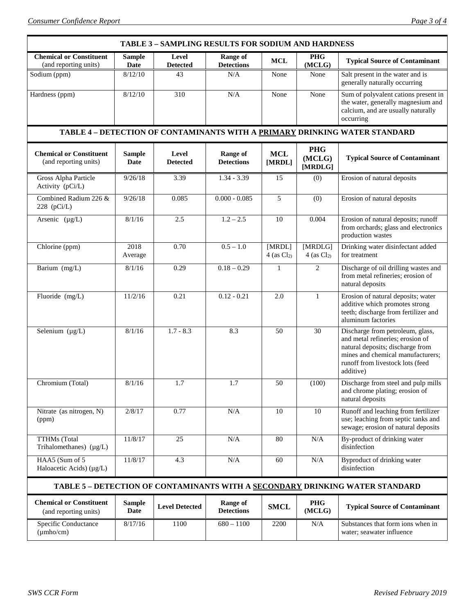| TABLE 3 - SAMPLING RESULTS FOR SODIUM AND HARDNESS                           |                              |                          |                                      |                           |                                 |                                                                                                                                                                                                |  |  |
|------------------------------------------------------------------------------|------------------------------|--------------------------|--------------------------------------|---------------------------|---------------------------------|------------------------------------------------------------------------------------------------------------------------------------------------------------------------------------------------|--|--|
| <b>Chemical or Constituent</b><br>(and reporting units)                      | <b>Sample</b><br><b>Date</b> | Level<br><b>Detected</b> | <b>Range of</b><br><b>Detections</b> | <b>MCL</b>                | <b>PHG</b><br>(MCLG)            | <b>Typical Source of Contaminant</b>                                                                                                                                                           |  |  |
| Sodium (ppm)                                                                 | 8/12/10                      | 43                       | N/A                                  | None                      | None                            | Salt present in the water and is<br>generally naturally occurring                                                                                                                              |  |  |
| Hardness (ppm)                                                               | 8/12/10                      | 310                      | N/A                                  | None                      | None                            | Sum of polyvalent cations present in<br>the water, generally magnesium and<br>calcium, and are usually naturally<br>occurring                                                                  |  |  |
| TABLE 4 - DETECTION OF CONTAMINANTS WITH A PRIMARY DRINKING WATER STANDARD   |                              |                          |                                      |                           |                                 |                                                                                                                                                                                                |  |  |
| <b>Chemical or Constituent</b><br>(and reporting units)                      | <b>Sample</b><br>Date        | Level<br><b>Detected</b> | Range of<br><b>Detections</b>        | <b>MCL</b><br>[MRDL]      | <b>PHG</b><br>(MCLG)<br>[MRDLG] | <b>Typical Source of Contaminant</b>                                                                                                                                                           |  |  |
| Gross Alpha Particle<br>Activity (pCi/L)                                     | 9/26/18                      | 3.39                     | $1.34 - 3.39$                        | 15                        | (0)                             | Erosion of natural deposits                                                                                                                                                                    |  |  |
| Combined Radium 226 &<br>228 $(pCi/L)$                                       | 9/26/18                      | 0.085                    | $0.000 - 0.085$                      | 5                         | (0)                             | Erosion of natural deposits                                                                                                                                                                    |  |  |
| Arsenic $(\mu g/L)$                                                          | 8/1/16                       | 2.5                      | $1.2 - 2.5$                          | 10                        | 0.004                           | Erosion of natural deposits; runoff<br>from orchards; glass and electronics<br>production wastes                                                                                               |  |  |
| Chlorine (ppm)                                                               | 2018<br>Average              | 0.70                     | $0.5 - 1.0$                          | [MRDL]<br>$4$ (as $Cl2$ ) | [MRDLG]<br>4 (as $Cl2$ )        | Drinking water disinfectant added<br>for treatment                                                                                                                                             |  |  |
| Barium (mg/L)                                                                | 8/1/16                       | 0.29                     | $0.18 - 0.29$                        | $\mathbf{1}$              | $\overline{2}$                  | Discharge of oil drilling wastes and<br>from metal refineries; erosion of<br>natural deposits                                                                                                  |  |  |
| Fluoride (mg/L)                                                              | 11/2/16                      | 0.21                     | $0.12 - 0.21$                        | 2.0                       | 1                               | Erosion of natural deposits; water<br>additive which promotes strong<br>teeth; discharge from fertilizer and<br>aluminum factories                                                             |  |  |
| Selenium (µg/L)                                                              | 8/1/16                       | $1.7 - 8.3$              | 8.3                                  | 50                        | 30                              | Discharge from petroleum, glass,<br>and metal refineries; erosion of<br>natural deposits; discharge from<br>mines and chemical manufacturers;<br>runoff from livestock lots (feed<br>additive) |  |  |
| Chromium (Total)                                                             | 8/1/16                       | $\overline{1.7}$         | $\overline{1.7}$                     | $\overline{50}$           | (100)                           | Discharge from steel and pulp mills<br>and chrome plating; erosion of<br>natural deposits                                                                                                      |  |  |
| Nitrate (as nitrogen, N)<br>(ppm)                                            | 2/8/17                       | 0.77                     | N/A                                  | 10                        | 10                              | Runoff and leaching from fertilizer<br>use; leaching from septic tanks and<br>sewage; erosion of natural deposits                                                                              |  |  |
| <b>TTHMs</b> (Total<br>Trihalomethanes) $(\mu g/L)$                          | 11/8/17                      | 25                       | N/A                                  | 80                        | N/A                             | By-product of drinking water<br>disinfection                                                                                                                                                   |  |  |
| HAA5 (Sum of 5<br>Haloacetic Acids) $(\mu g/L)$                              | 11/8/17                      | 4.3                      | N/A                                  | 60                        | N/A                             | Byproduct of drinking water<br>disinfection                                                                                                                                                    |  |  |
| TABLE 5 - DETECTION OF CONTAMINANTS WITH A SECONDARY DRINKING WATER STANDARD |                              |                          |                                      |                           |                                 |                                                                                                                                                                                                |  |  |
| <b>Chemical or Constituent</b><br>(and reporting units)                      | <b>Sample</b><br>Date        | <b>Level Detected</b>    | <b>Range of</b><br><b>Detections</b> | <b>SMCL</b>               | <b>PHG</b><br>(MCLG)            | <b>Typical Source of Contaminant</b>                                                                                                                                                           |  |  |
| Specific Conductance<br>$(\mu$ mho/cm $)$                                    | 8/17/16                      | 1100                     | $680 - 1100$                         | 2200                      | N/A                             | Substances that form ions when in<br>water; seawater influence                                                                                                                                 |  |  |